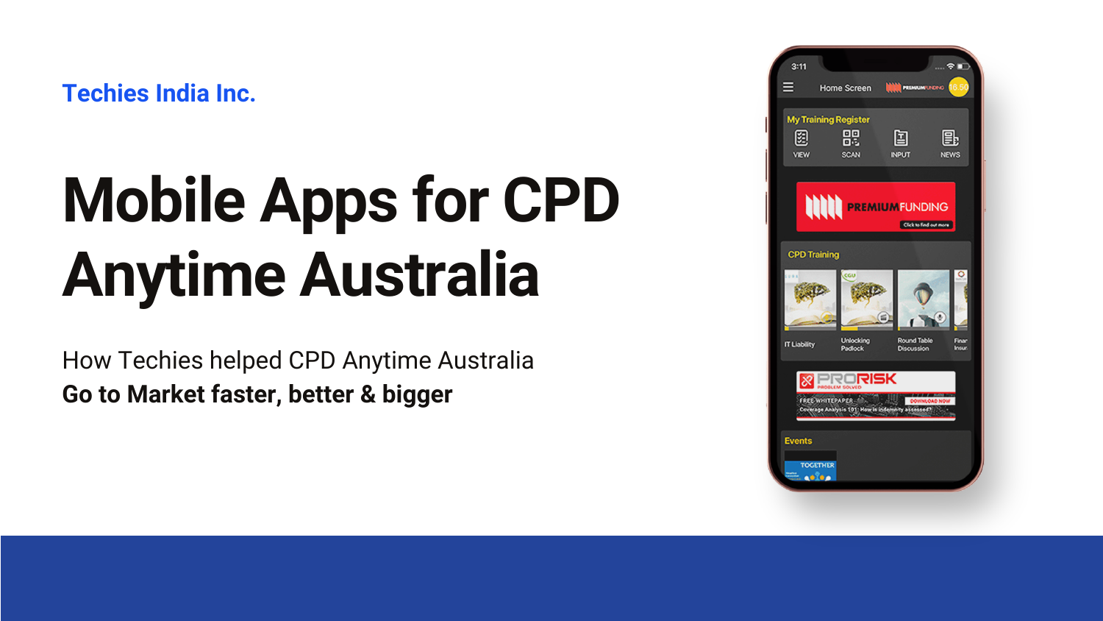# **Mobile Apps for CPD Anytime Australia**

**Techies India Inc.**

How Techies helped CPD Anytime Australia **Go to Market faster, better & bigger**

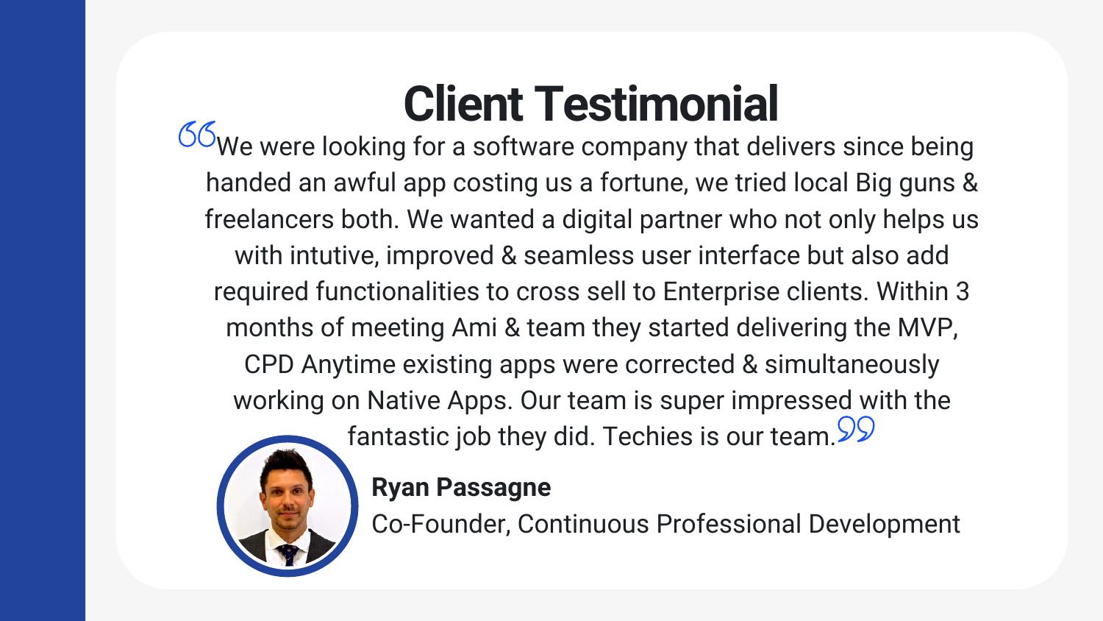# **Client Testimonial**

 $66$ We were looking for a software company that delivers since being handed an awful app costing us a fortune, we tried local Big guns & freelancers both. We wanted a digital partner who not only helps us with intutive, improved & seamless user interface but also add required functionalities to cross sell to Enterprise clients. Within 3 months of meeting Ami & team they started delivering the MVP, CPD Anytime existing apps were corrected & simultaneously working on Native Apps. Our team is super impressed with the fantastic job they did. Techies is our team. 99



### **Ryan Passagne**

Co-Founder, Continuous Professional Development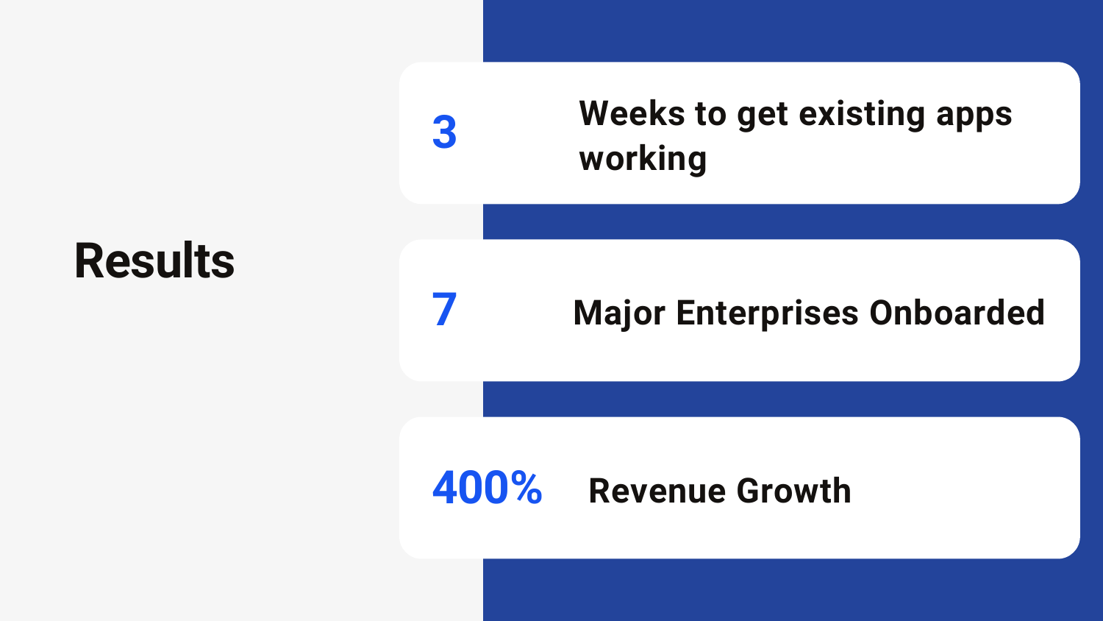## **Results**

# **Weeks to get existing apps**



### **Major Enterprises Onboarded**

### **Revenue Growth**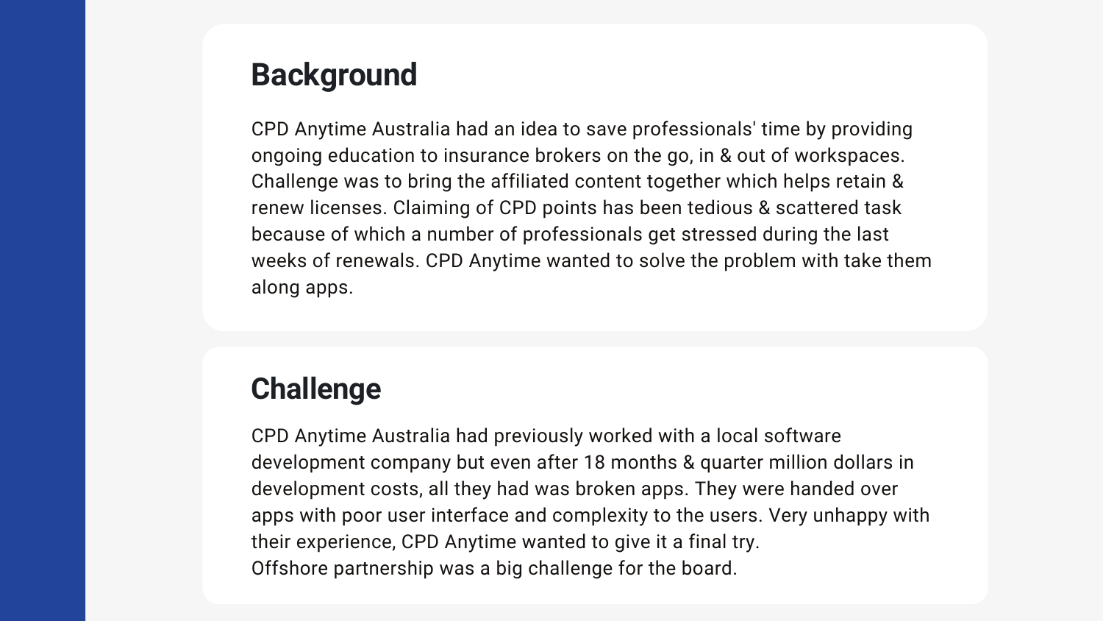CPD Anytime Australia had an idea to save professionals' time by providing ongoing education to insurance brokers on the go, in & out of workspaces. Challenge was to bring the affiliated content together which helps retain & renew licenses. Claiming of CPD points has been tedious & scattered task because of which a number of professionals get stressed during the last weeks of renewals. CPD Anytime wanted to solve the problem with take them along apps.

### **Background**

CPD Anytime Australia had previously worked with a local software development company but even after 18 months & quarter million dollars in development costs, all they had was broken apps. They were handed over apps with poor user interface and complexity to the users. Very unhappy with their experience, CPD Anytime wanted to give it a final try. Offshore partnership was a big challenge for the board.

### **Challenge**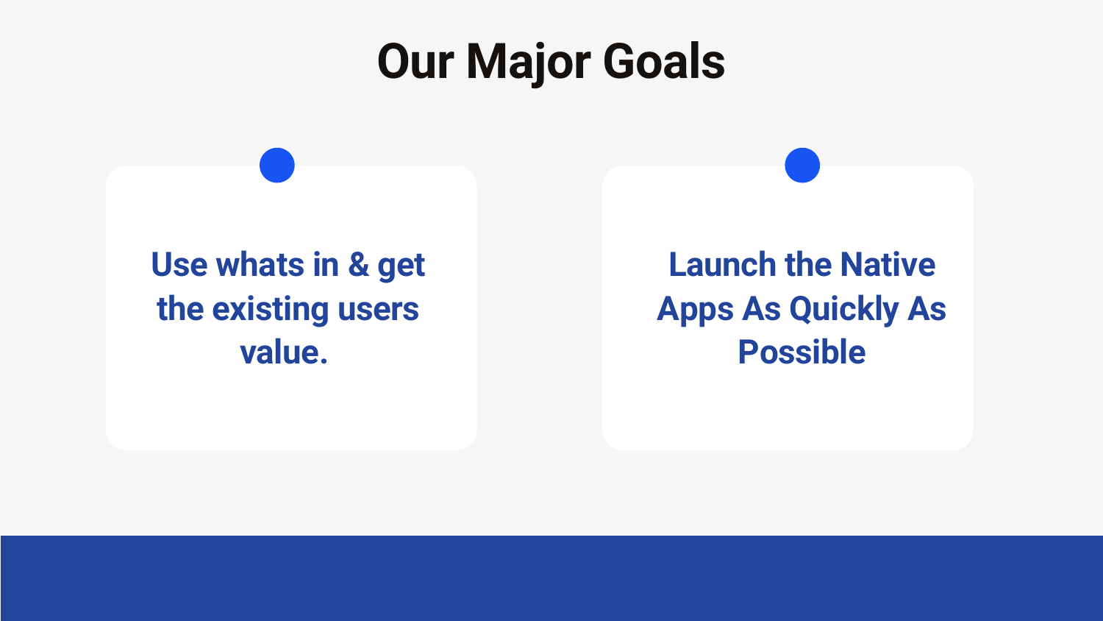# **Our Major Goals**

### **Launch the Native Apps As Quickly As Possible**

### **Use whats in & get the existing users value.**

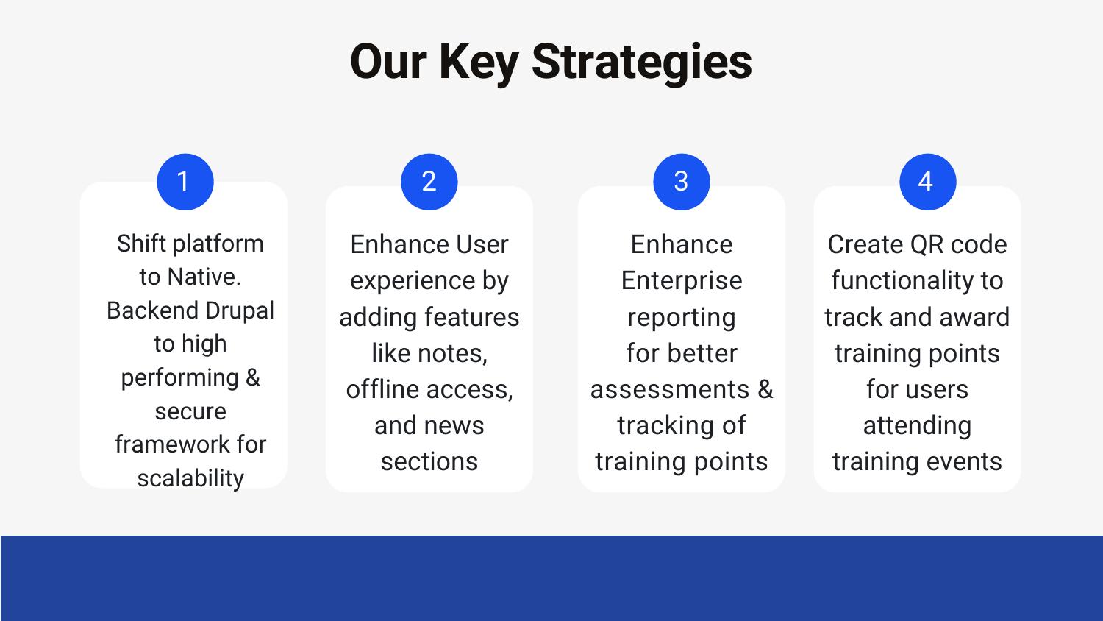Enhance User experience by adding features like notes, offline access, and news sections



**Enhance** Enterprise reporting for better assessments & tracking of training points

# **Our Key Strategies**

1 Shift platform to Native. Backend Drupal to high performing & secure framework for scalability

Create QR code functionality to track and award training points for users attending training events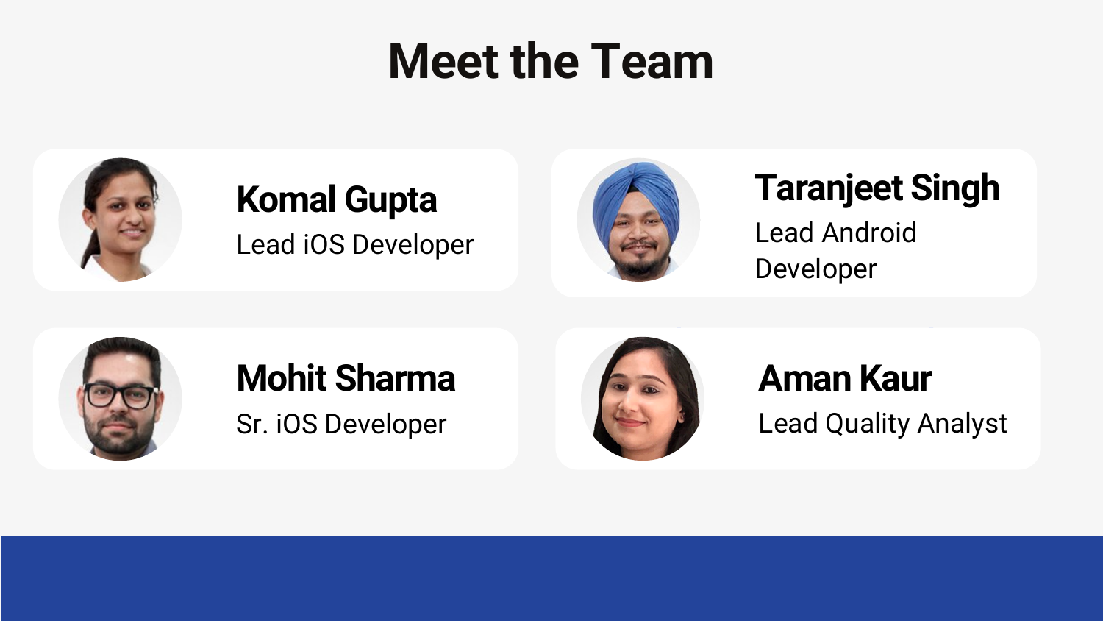# **Meet the Team**



### $\mathbf{z}$ Lead iOS Developer **Komal Gupta**





Sr. iOS Developer



### **Mohit Sharma**

### **Taranigat Si** Lead Android Developer **Taranjeet Singh**

### 2 3 Lead Quality Analyst **Aman Kaur**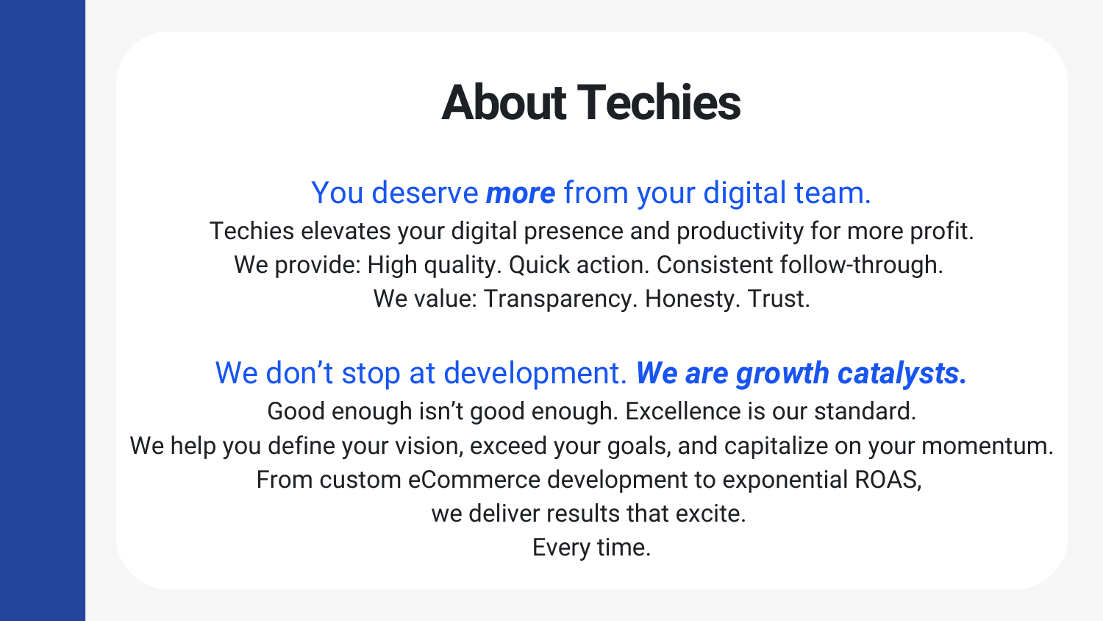# **About Techies**

Techies elevates your digital presence and productivity for more profit. We provide: High quality. Quick action. Consistent follow-through. We value: Transparency. Honesty. Trust.

### You deserve *more* from your digital team.

### We don't stop at development. *We are growth catalysts.*

Good enough isn't good enough. Excellence is our standard.

- We help you define your vision, exceed your goals, and capitalize on your momentum.
	- From custom eCommerce development to exponential ROAS,
		- we deliver results that excite.
			- Every time.